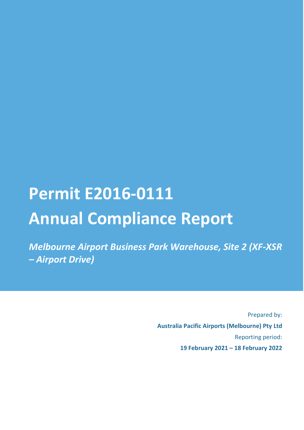# **Permit E2016-0111 Annual Compliance Report**

*Melbourne Airport Business Park Warehouse, Site 2 (XF-XSR – Airport Drive)*

> Prepared by: **Australia Pacific Airports (Melbourne) Pty Ltd** Reporting period: **19 February 2021 – 18 February 2022**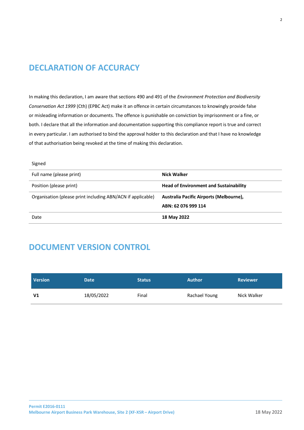# <span id="page-1-0"></span>**DECLARATION OF ACCURACY**

In making this declaration, I am aware that sections 490 and 491 of the *Environment Protection and Biodiversity Conservation Act 1999* (Cth) (EPBC Act) make it an offence in certain circumstances to knowingly provide false or misleading information or documents. The offence is punishable on conviction by imprisonment or a fine, or both. I declare that all the information and documentation supporting this compliance report is true and correct in every particular. I am authorised to bind the approval holder to this declaration and that I have no knowledge of that authorisation being revoked at the time of making this declaration.

#### Signed

| Full name (please print)                                    | Nick Walker                                   |
|-------------------------------------------------------------|-----------------------------------------------|
| Position (please print)                                     | <b>Head of Environment and Sustainability</b> |
| Organisation (please print including ABN/ACN if applicable) | Australia Pacific Airports (Melbourne),       |
|                                                             | ABN: 62 076 999 114                           |
| Date                                                        | 18 May 2022                                   |

## <span id="page-1-1"></span>**DOCUMENT VERSION CONTROL**

| <b>Version</b> | <b>Date</b> | <b>Status</b> | <b>Author</b> | <b>Reviewer</b> |
|----------------|-------------|---------------|---------------|-----------------|
| V <sub>1</sub> | 18/05/2022  | Final         | Rachael Young | Nick Walker     |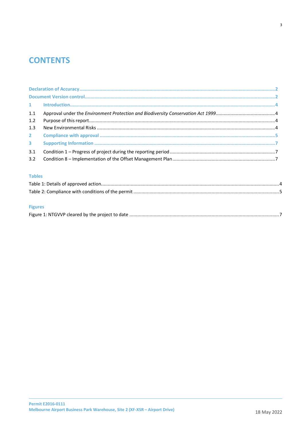# **CONTENTS**

| 1.1 |  |
|-----|--|
| 1.2 |  |
| 1.3 |  |
|     |  |
|     |  |
| 3.1 |  |
|     |  |

#### **Tables**

## **Figures**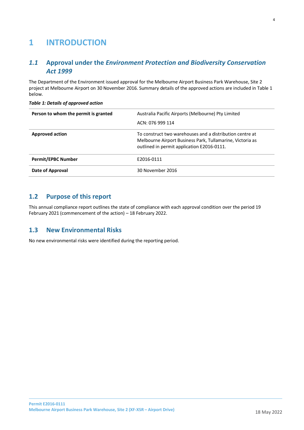# <span id="page-3-0"></span>**1 INTRODUCTION**

## <span id="page-3-1"></span>*1.1* **Approval under the** *Environment Protection and Biodiversity Conservation Act 1999*

The Department of the Environment issued approval for the Melbourne Airport Business Park Warehouse, Site 2 project at Melbourne Airport on 30 November 2016. Summary details of the approved actions are included in Table 1 below.

| Person to whom the permit is granted | Australia Pacific Airports (Melbourne) Pty Limited<br>ACN: 076 999 114                                                                                              |
|--------------------------------------|---------------------------------------------------------------------------------------------------------------------------------------------------------------------|
| <b>Approved action</b>               | To construct two warehouses and a distribution centre at<br>Melbourne Airport Business Park, Tullamarine, Victoria as<br>outlined in permit application E2016-0111. |
| <b>Permit/EPBC Number</b>            | F2016-0111                                                                                                                                                          |
| Date of Approval                     | 30 November 2016                                                                                                                                                    |

#### *Table 1: Details of approved action*

## <span id="page-3-2"></span>**1.2 Purpose of this report**

This annual compliance report outlines the state of compliance with each approval condition over the period 19 February 2021 (commencement of the action) – 18 February 2022.

## <span id="page-3-3"></span>**1.3 New Environmental Risks**

No new environmental risks were identified during the reporting period.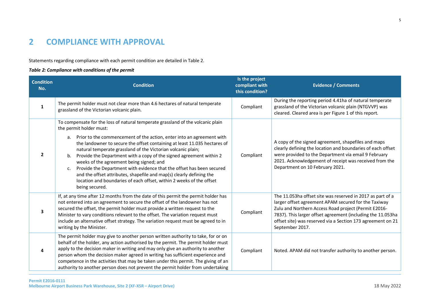# **2 COMPLIANCE WITH APPROVAL**

Statements regarding compliance with each permit condition are detailed in Table 2.

#### *Table 2: Compliance with conditions of the permit*

<span id="page-4-0"></span>

| <b>Condition</b><br>No. | <b>Condition</b>                                                                                                                                                                                                                                                                                                                                                                                                                                                                                                                                                                                                                                                                                                          | Is the project<br>compliant with<br>this condition? | <b>Evidence / Comments</b>                                                                                                                                                                                                                                                                                                  |
|-------------------------|---------------------------------------------------------------------------------------------------------------------------------------------------------------------------------------------------------------------------------------------------------------------------------------------------------------------------------------------------------------------------------------------------------------------------------------------------------------------------------------------------------------------------------------------------------------------------------------------------------------------------------------------------------------------------------------------------------------------------|-----------------------------------------------------|-----------------------------------------------------------------------------------------------------------------------------------------------------------------------------------------------------------------------------------------------------------------------------------------------------------------------------|
| 1                       | The permit holder must not clear more than 4.6 hectares of natural temperate<br>grassland of the Victorian volcanic plain.                                                                                                                                                                                                                                                                                                                                                                                                                                                                                                                                                                                                | Compliant                                           | During the reporting period 4.41ha of natural temperate<br>grassland of the Victorian volcanic plain (NTGVVP) was<br>cleared. Cleared area is per Figure 1 of this report.                                                                                                                                                  |
| $\overline{2}$          | To compensate for the loss of natural temperate grassland of the volcanic plain<br>the permit holder must:<br>a. Prior to the commencement of the action, enter into an agreement with<br>the landowner to secure the offset containing at least 11.035 hectares of<br>natural temperate grassland of the Victorian volcanic plain;<br>Provide the Department with a copy of the signed agreement within 2<br>b.<br>weeks of the agreement being signed; and<br>Provide the Department with evidence that the offset has been secured<br>$\mathsf{C}$ .<br>and the offset attributes, shapefile and map(s) clearly defining the<br>location and boundaries of each offset, within 2 weeks of the offset<br>being secured. | Compliant                                           | A copy of the signed agreement, shapefiles and maps<br>clearly defining the location and boundaries of each offset<br>were provided to the Department via email 9 February<br>2021. Acknowledgement of receipt was received from the<br>Department on 10 February 2021.                                                     |
| 3                       | If, at any time after 12 months from the date of this permit the permit holder has<br>not entered into an agreement to secure the offset of the landowner has not<br>secured the offset, the permit holder must provide a written request to the<br>Minister to vary conditions relevant to the offset. The variation request must<br>include an alternative offset strategy. The variation request must be agreed to in<br>writing by the Minister.                                                                                                                                                                                                                                                                      | Compliant                                           | The 11.053ha offset site was reserved in 2017 as part of a<br>larger offset agreement APAM secured for the Taxiway<br>Zulu and Northern Access Road project (Permit E2016-<br>7837). This larger offset agreement (including the 11.053ha<br>offset site) was reserved via a Section 173 agreement on 21<br>September 2017. |
| 4                       | The permit holder may give to another person written authority to take, for or on<br>behalf of the holder, any action authorised by the permit. The permit holder must<br>apply to the decision maker in writing and may only give an authority to another<br>person whom the decision maker agreed in writing has sufficient experience and<br>competence in the activities that may be taken under this permit. The giving of an<br>authority to another person does not prevent the permit holder from undertaking                                                                                                                                                                                                     | Compliant                                           | Noted. APAM did not transfer authority to another person.                                                                                                                                                                                                                                                                   |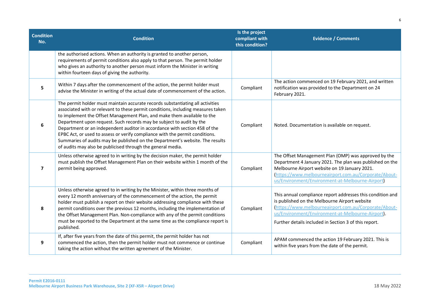| <b>Condition</b><br>No. | <b>Condition</b>                                                                                                                                                                                                                                                                                                                                                                                                                                                                                                                                                                                                                    | Is the project<br>compliant with<br>this condition? | <b>Evidence / Comments</b>                                                                                                                                                                                                                                                         |
|-------------------------|-------------------------------------------------------------------------------------------------------------------------------------------------------------------------------------------------------------------------------------------------------------------------------------------------------------------------------------------------------------------------------------------------------------------------------------------------------------------------------------------------------------------------------------------------------------------------------------------------------------------------------------|-----------------------------------------------------|------------------------------------------------------------------------------------------------------------------------------------------------------------------------------------------------------------------------------------------------------------------------------------|
|                         | the authorised actions. When an authority is granted to another person,<br>requirements of permit conditions also apply to that person. The permit holder<br>who gives an authority to another person must inform the Minister in writing<br>within fourteen days of giving the authority.                                                                                                                                                                                                                                                                                                                                          |                                                     |                                                                                                                                                                                                                                                                                    |
| 5                       | Within 7 days after the commencement of the action, the permit holder must<br>advise the Minister in writing of the actual date of commencement of the action.                                                                                                                                                                                                                                                                                                                                                                                                                                                                      | Compliant                                           | The action commenced on 19 February 2021, and written<br>notification was provided to the Department on 24<br>February 2021.                                                                                                                                                       |
| 6                       | The permit holder must maintain accurate records substantiating all activities<br>associated with or relevant to these permit conditions, including measures taken<br>to implement the Offset Management Plan, and make them available to the<br>Department upon request. Such records may be subject to audit by the<br>Department or an independent auditor in accordance with section 458 of the<br>EPBC Act, or used to assess or verify compliance with the permit conditions.<br>Summaries of audits may be published on the Department's website. The results<br>of audits may also be publicised through the general media. | Compliant                                           | Noted. Documentation is available on request.                                                                                                                                                                                                                                      |
| 7                       | Unless otherwise agreed to in writing by the decision maker, the permit holder<br>must publish the Offset Management Plan on their website within 1 month of the<br>permit being approved.                                                                                                                                                                                                                                                                                                                                                                                                                                          | Compliant                                           | The Offset Management Plan (OMP) was approved by the<br>Department 4 January 2021. The plan was published on the<br>Melbourne Airport website on 19 January 2021.<br>(https://www.melbourneairport.com.au/Corporate/About-<br>us/Environment/Environment-at-Melbourne-Airport)     |
| 8                       | Unless otherwise agreed to in writing by the Minister, within three months of<br>every 12 month anniversary of the commencement of the action, the permit<br>holder must publish a report on their website addressing compliance with these<br>permit conditions over the previous 12 months, including the implementation of<br>the Offset Management Plan. Non-compliance with any of the permit conditions<br>must be reported to the Department at the same time as the compliance report is<br>published.                                                                                                                      | Compliant                                           | This annual compliance report addresses this condition and<br>is published on the Melbourne Airport website<br>(https://www.melbourneairport.com.au/Corporate/About-<br>us/Environment/Environment-at-Melbourne-Airport).<br>Further details included in Section 3 of this report. |
| 9                       | If, after five years from the date of this permit, the permit holder has not<br>commenced the action, then the permit holder must not commence or continue<br>taking the action without the written agreement of the Minister.                                                                                                                                                                                                                                                                                                                                                                                                      | Compliant                                           | APAM commenced the action 19 February 2021. This is<br>within five years from the date of the permit.                                                                                                                                                                              |